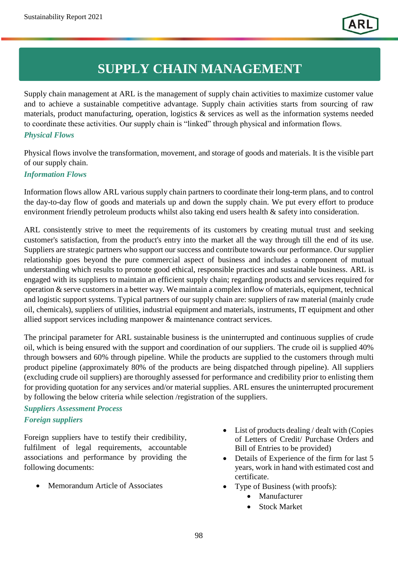# **SUPPLY CHAIN MANAGEMENT**

Supply chain management at ARL is the management of supply chain activities to maximize customer value and to achieve a sustainable competitive advantage. Supply chain activities starts from sourcing of raw materials, product manufacturing, operation, logistics & services as well as the information systems needed to coordinate these activities. Our supply chain is "linked" through physical and information flows.

#### *Physical Flows*

Physical flows involve the transformation, movement, and storage of goods and materials. It is the visible part of our supply chain.

#### *Information Flows*

Information flows allow ARL various supply chain partners to coordinate their long-term plans, and to control the day-to-day flow of goods and materials up and down the supply chain. We put every effort to produce environment friendly petroleum products whilst also taking end users health & safety into consideration.

ARL consistently strive to meet the requirements of its customers by creating mutual trust and seeking customer's satisfaction, from the product's entry into the market all the way through till the end of its use. Suppliers are strategic partners who support our success and contribute towards our performance. Our supplier relationship goes beyond the pure commercial aspect of business and includes a component of mutual understanding which results to promote good ethical, responsible practices and sustainable business. ARL is engaged with its suppliers to maintain an efficient supply chain; regarding products and services required for operation & serve customers in a better way. We maintain a complex inflow of materials, equipment, technical and logistic support systems. Typical partners of our supply chain are: suppliers of raw material (mainly crude oil, chemicals), suppliers of utilities, industrial equipment and materials, instruments, IT equipment and other allied support services including manpower & maintenance contract services.

The principal parameter for ARL sustainable business is the uninterrupted and continuous supplies of crude oil, which is being ensured with the support and coordination of our suppliers. The crude oil is supplied 40% through bowsers and 60% through pipeline. While the products are supplied to the customers through multi product pipeline (approximately 80% of the products are being dispatched through pipeline). All suppliers (excluding crude oil suppliers) are thoroughly assessed for performance and credibility prior to enlisting them for providing quotation for any services and/or material supplies. ARL ensures the uninterrupted procurement by following the below criteria while selection /registration of the suppliers.

## *Suppliers Assessment Process Foreign suppliers*

Foreign suppliers have to testify their credibility, fulfilment of legal requirements, accountable associations and performance by providing the following documents:

Memorandum Article of Associates

- List of products dealing / dealt with (Copies of Letters of Credit/ Purchase Orders and Bill of Entries to be provided)
- Details of Experience of the firm for last 5 years, work in hand with estimated cost and certificate.
- Type of Business (with proofs):
	- Manufacturer
	- Stock Market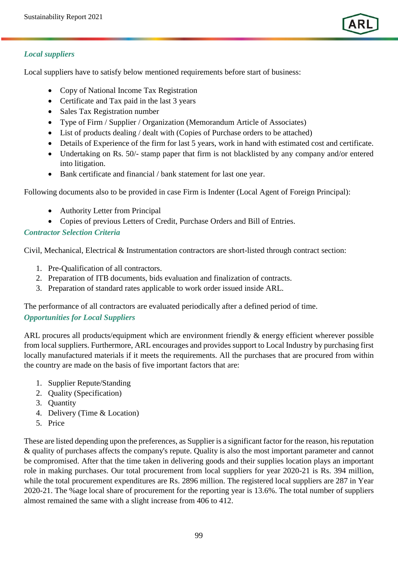

### *Local suppliers*

Local suppliers have to satisfy below mentioned requirements before start of business:

- Copy of National Income Tax Registration
- Certificate and Tax paid in the last 3 years
- Sales Tax Registration number
- Type of Firm / Supplier / Organization (Memorandum Article of Associates)
- List of products dealing / dealt with (Copies of Purchase orders to be attached)
- Details of Experience of the firm for last 5 years, work in hand with estimated cost and certificate.
- Undertaking on Rs. 50/- stamp paper that firm is not blacklisted by any company and/or entered into litigation.
- Bank certificate and financial / bank statement for last one year.

Following documents also to be provided in case Firm is Indenter (Local Agent of Foreign Principal):

- Authority Letter from Principal
- Copies of previous Letters of Credit, Purchase Orders and Bill of Entries.

### *Contractor Selection Criteria*

Civil, Mechanical, Electrical & Instrumentation contractors are short-listed through contract section:

- 1. Pre-Qualification of all contractors.
- 2. Preparation of ITB documents, bids evaluation and finalization of contracts.
- 3. Preparation of standard rates applicable to work order issued inside ARL.

The performance of all contractors are evaluated periodically after a defined period of time.

### *Opportunities for Local Suppliers*

ARL procures all products/equipment which are environment friendly & energy efficient wherever possible from local suppliers. Furthermore, ARL encourages and provides support to Local Industry by purchasing first locally manufactured materials if it meets the requirements. All the purchases that are procured from within the country are made on the basis of five important factors that are:

- 1. Supplier Repute/Standing
- 2. Quality (Specification)
- 3. Quantity
- 4. Delivery (Time & Location)
- 5. Price

These are listed depending upon the preferences, as Supplier is a significant factor for the reason, his reputation & quality of purchases affects the company's repute. Quality is also the most important parameter and cannot be compromised. After that the time taken in delivering goods and their supplies location plays an important role in making purchases. Our total procurement from local suppliers for year 2020-21 is Rs. 394 million, while the total procurement expenditures are Rs. 2896 million. The registered local suppliers are 287 in Year 2020-21. The %age local share of procurement for the reporting year is 13.6%. The total number of suppliers almost remained the same with a slight increase from 406 to 412.